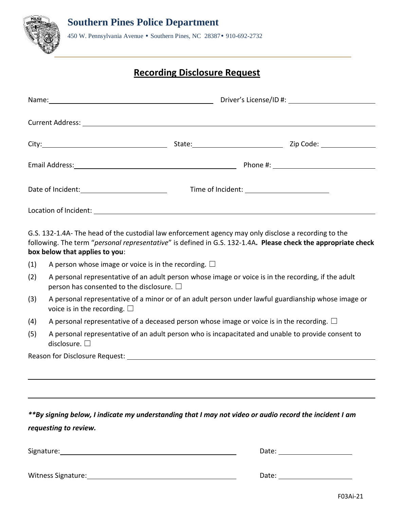

## **Recording Disclosure Request**

G.S. 132-1.4A- The head of the custodial law enforcement agency may only disclose a recording to the following. The term "*personal representative*" is defined in G.S. 132-1.4A**. Please check the appropriate check box below that applies to you**:

- (1) A person whose image or voice is in the recording.  $\Box$
- (2) A personal representative of an adult person whose image or voice is in the recording, if the adult person has consented to the disclosure.  $\Box$
- (3) A personal representative of a minor or of an adult person under lawful guardianship whose image or voice is in the recording.  $\Box$
- (4) A personal representative of a deceased person whose image or voice is in the recording.  $\Box$
- (5) A personal representative of an adult person who is incapacitated and unable to provide consent to disclosure. □

Reason for Disclosure Request:

*\*\*By signing below, I indicate my understanding that I may not video or audio record the incident I am requesting to review.*

Signature: Date:

Witness Signature: The Contract of the Contract of the Contract of the Date: Date: Date: Date: Date: Date: Date: Date: Date: Date: Date: Date: Date: Date: Date: Date: Date: Date: Date: Date: Date: Date: Date: Date: Date: D